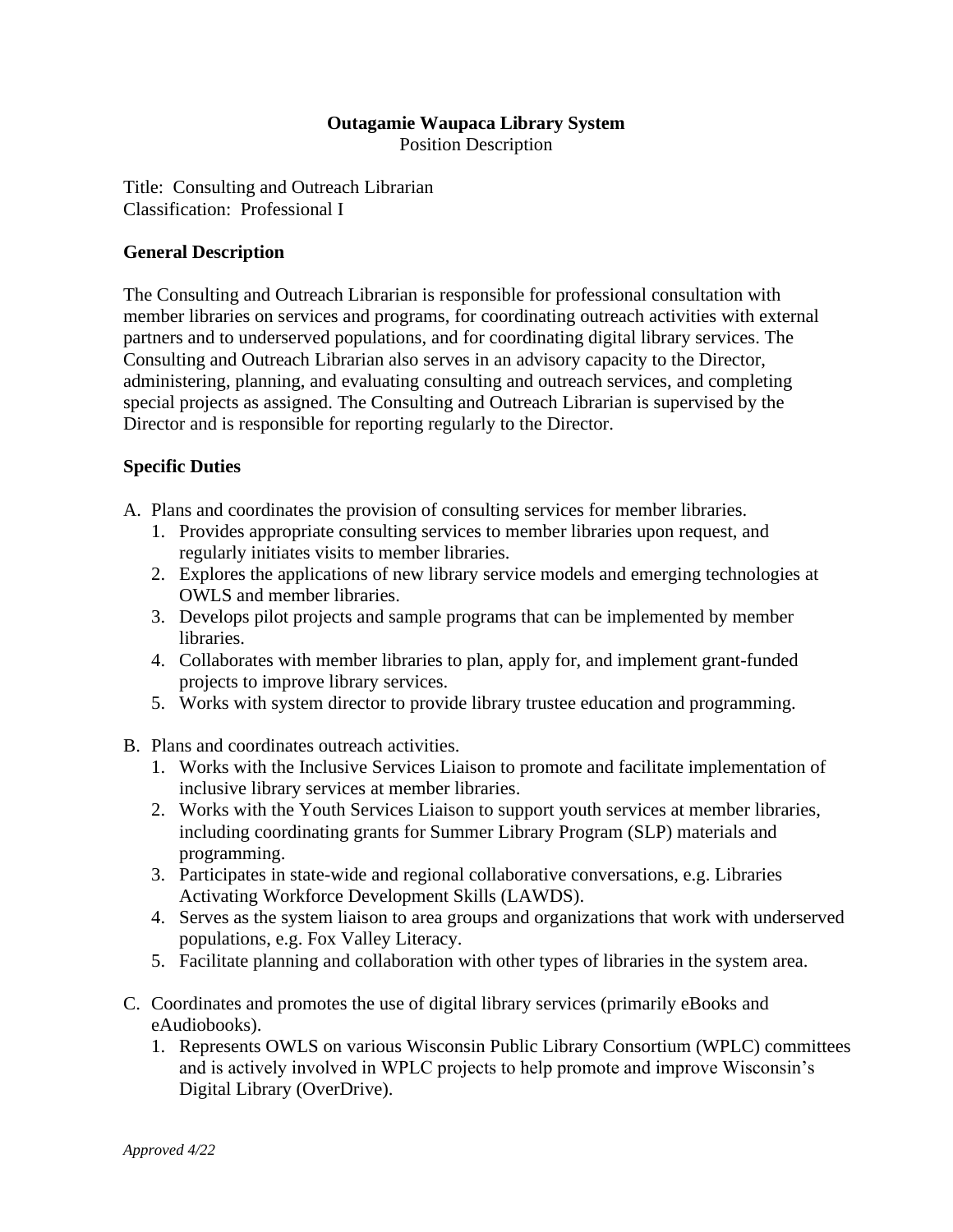### **Outagamie Waupaca Library System** Position Description

Title: Consulting and Outreach Librarian Classification: Professional I

# **General Description**

The Consulting and Outreach Librarian is responsible for professional consultation with member libraries on services and programs, for coordinating outreach activities with external partners and to underserved populations, and for coordinating digital library services. The Consulting and Outreach Librarian also serves in an advisory capacity to the Director, administering, planning, and evaluating consulting and outreach services, and completing special projects as assigned. The Consulting and Outreach Librarian is supervised by the Director and is responsible for reporting regularly to the Director.

# **Specific Duties**

- A. Plans and coordinates the provision of consulting services for member libraries.
	- 1. Provides appropriate consulting services to member libraries upon request, and regularly initiates visits to member libraries.
	- 2. Explores the applications of new library service models and emerging technologies at OWLS and member libraries.
	- 3. Develops pilot projects and sample programs that can be implemented by member libraries.
	- 4. Collaborates with member libraries to plan, apply for, and implement grant-funded projects to improve library services.
	- 5. Works with system director to provide library trustee education and programming.
- B. Plans and coordinates outreach activities.
	- 1. Works with the Inclusive Services Liaison to promote and facilitate implementation of inclusive library services at member libraries.
	- 2. Works with the Youth Services Liaison to support youth services at member libraries, including coordinating grants for Summer Library Program (SLP) materials and programming.
	- 3. Participates in state-wide and regional collaborative conversations, e.g. Libraries Activating Workforce Development Skills (LAWDS).
	- 4. Serves as the system liaison to area groups and organizations that work with underserved populations, e.g. Fox Valley Literacy.
	- 5. Facilitate planning and collaboration with other types of libraries in the system area.
- C. Coordinates and promotes the use of digital library services (primarily eBooks and eAudiobooks).
	- 1. Represents OWLS on various Wisconsin Public Library Consortium (WPLC) committees and is actively involved in WPLC projects to help promote and improve Wisconsin's Digital Library (OverDrive).